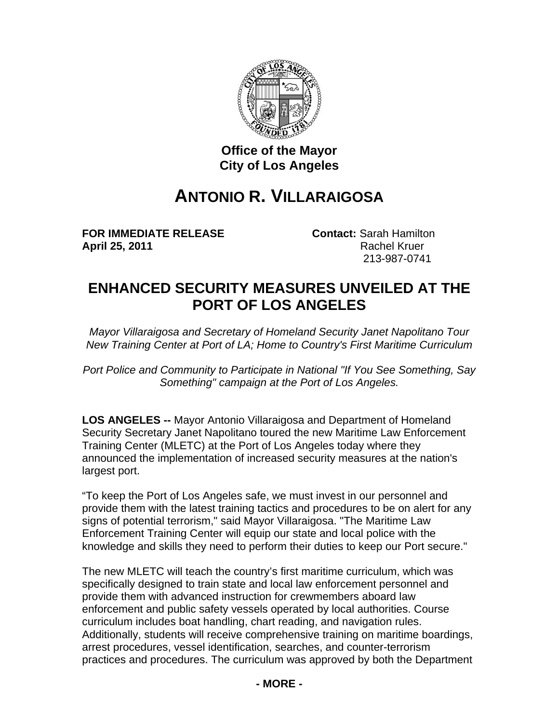

## **Office of the Mayor City of Los Angeles**

## **ANTONIO R. VILLARAIGOSA**

**FOR IMMEDIATE RELEASE Contact:** Sarah Hamilton **April 25, 2011 Rachel Kruer Rachel Kruer** 

213-987-0741

## **ENHANCED SECURITY MEASURES UNVEILED AT THE PORT OF LOS ANGELES**

*Mayor Villaraigosa and Secretary of Homeland Security Janet Napolitano Tour New Training Center at Port of LA; Home to Country's First Maritime Curriculum*

*Port Police and Community to Participate in National "If You See Something, Say Something" campaign at the Port of Los Angeles.*

**LOS ANGELES --** Mayor Antonio Villaraigosa and Department of Homeland Security Secretary Janet Napolitano toured the new Maritime Law Enforcement Training Center (MLETC) at the Port of Los Angeles today where they announced the implementation of increased security measures at the nation's largest port.

"To keep the Port of Los Angeles safe, we must invest in our personnel and provide them with the latest training tactics and procedures to be on alert for any signs of potential terrorism," said Mayor Villaraigosa. "The Maritime Law Enforcement Training Center will equip our state and local police with the knowledge and skills they need to perform their duties to keep our Port secure."

The new MLETC will teach the country's first maritime curriculum, which was specifically designed to train state and local law enforcement personnel and provide them with advanced instruction for crewmembers aboard law enforcement and public safety vessels operated by local authorities. Course curriculum includes boat handling, chart reading, and navigation rules. Additionally, students will receive comprehensive training on maritime boardings, arrest procedures, vessel identification, searches, and counter-terrorism practices and procedures. The curriculum was approved by both the Department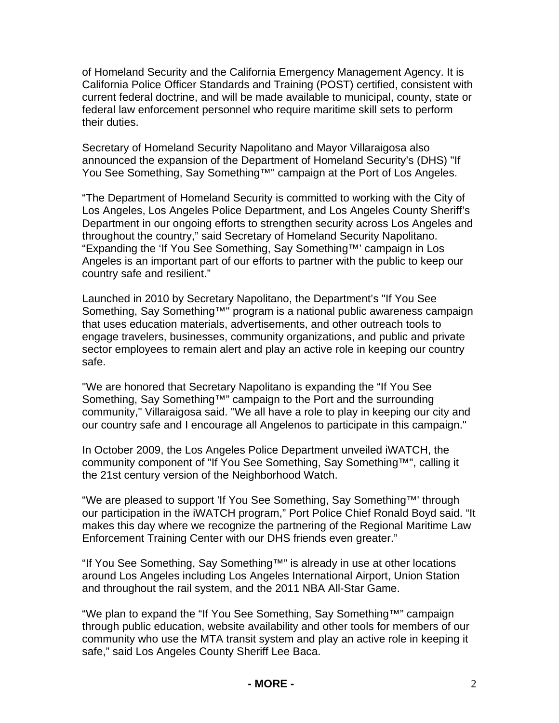of Homeland Security and the California Emergency Management Agency. It is California Police Officer Standards and Training (POST) certified, consistent with current federal doctrine, and will be made available to municipal, county, state or federal law enforcement personnel who require maritime skill sets to perform their duties.

Secretary of Homeland Security Napolitano and Mayor Villaraigosa also announced the expansion of the Department of Homeland Security's (DHS) "If You See Something, Say Something™" campaign at the Port of Los Angeles.

"The Department of Homeland Security is committed to working with the City of Los Angeles, Los Angeles Police Department, and Los Angeles County Sheriff's Department in our ongoing efforts to strengthen security across Los Angeles and throughout the country," said Secretary of Homeland Security Napolitano. "Expanding the 'If You See Something, Say Something™' campaign in Los Angeles is an important part of our efforts to partner with the public to keep our country safe and resilient."

Launched in 2010 by Secretary Napolitano, the Department's "If You See Something, Say Something<sup>™"</sup> program is a national public awareness campaign that uses education materials, advertisements, and other outreach tools to engage travelers, businesses, community organizations, and public and private sector employees to remain alert and play an active role in keeping our country safe.

"We are honored that Secretary Napolitano is expanding the "If You See Something, Say Something™" campaign to the Port and the surrounding community," Villaraigosa said. "We all have a role to play in keeping our city and our country safe and I encourage all Angelenos to participate in this campaign."

In October 2009, the Los Angeles Police Department unveiled iWATCH, the community component of "If You See Something, Say Something™", calling it the 21st century version of the Neighborhood Watch.

"We are pleased to support 'If You See Something, Say Something™' through our participation in the iWATCH program," Port Police Chief Ronald Boyd said. "It makes this day where we recognize the partnering of the Regional Maritime Law Enforcement Training Center with our DHS friends even greater."

"If You See Something, Say Something™" is already in use at other locations around Los Angeles including Los Angeles International Airport, Union Station and throughout the rail system, and the 2011 NBA All-Star Game.

"We plan to expand the "If You See Something, Say Something™" campaign through public education, website availability and other tools for members of our community who use the MTA transit system and play an active role in keeping it safe," said Los Angeles County Sheriff Lee Baca.